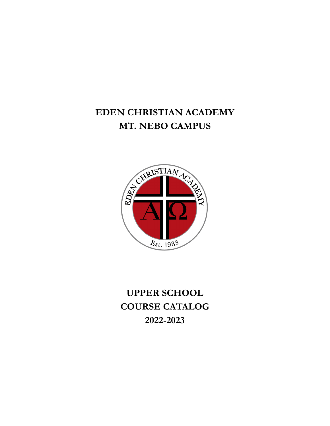## **EDEN CHRISTIAN ACADEMY MT. NEBO CAMPUS**



**UPPER SCHOOL COURSE CATALOG 2022-2023**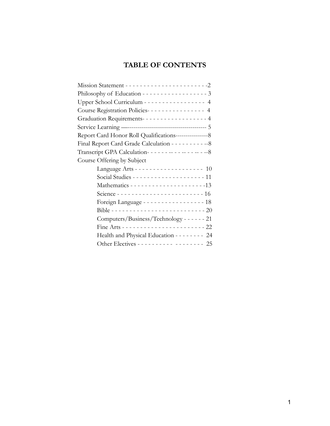## **TABLE OF CONTENTS**

| Philosophy of Education - - - - - - - - - - - - - - - - - 3   |  |
|---------------------------------------------------------------|--|
| Upper School Curriculum - - - - - - - - - - - - - - - - 4     |  |
| Course Registration Policies-------------- 4                  |  |
| Graduation Requirements-----------------4                     |  |
|                                                               |  |
|                                                               |  |
| Final Report Card Grade Calculation - - - - - - - - - - - - 8 |  |
| Transcript GPA Calculation-----------------8                  |  |
| Course Offering by Subject                                    |  |
| Language Arts - - - - - - - - - - - - - - - - - - 10          |  |
|                                                               |  |
|                                                               |  |
| Science ------------------------16                            |  |
| Foreign Language - - - - - - - - - - - - - - - - 18           |  |
|                                                               |  |
| Computers/Business/Technology - - - - - - 21                  |  |
|                                                               |  |
| Health and Physical Education - - - - - - - - 24              |  |
| Other Electives - - - - - - - - - - - - - - - - - 25          |  |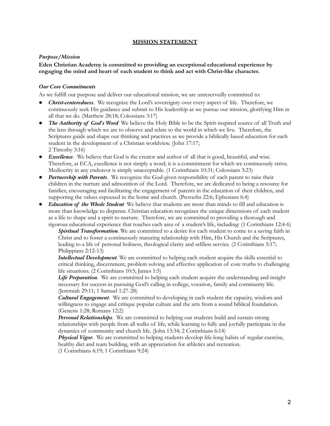#### **MISSION STATEMENT**

#### *Purpose/Mission*

#### **Eden Christian Academy is committed to providing an exceptional educational experience by engaging the mind and heart of each student to think and act with Christ-like character.**

#### *Our Core Commitments*

As we fulfill our purpose and deliver our educational mission, we are unreservedly committed to:

- *Christ-centeredness*. We recognize the Lord's sovereignty over every aspect of life. Therefore, we continuously seek His guidance and submit to His leadership as we pursue our mission, glorifying Him in all that we do. (Matthew 28:18; Colossians 3:17)
- *The Authority of God's Word*. We believe the Holy Bible to be the Spirit-inspired source of all Truth and the lens through which we are to observe and relate to the world in which we live. Therefore, the Scriptures guide and shape our thinking and practices as we provide a biblically based education for each student in the development of a Christian worldview. (John 17:17; 2 Timothy 3:16)
- *Excellence*. We believe that God is the creator and author of all that is good, beautiful, and wise. Therefore, at ECA, excellence is not simply a word; it is a commitment for which we continuously strive. Mediocrity in any endeavor is simply unacceptable. (1 Corinthians 10:31; Colossians 3:23)
- *Partnership with Parents*. We recognize the God-given responsibility of each parent to raise their children in the nurture and admonition of the Lord. Therefore, we are dedicated to being a resource for families, encouraging and facilitating the engagement of parents in the education of their children, and supporting the values espoused in the home and church. (Proverbs 22:6; Ephesians 6:4)
- *Education of the Whole Student* We believe that students are more than minds to fill and education is more than knowledge to dispense. Christian education recognizes the unique dimensions of each student as a life to shape and a spirit to nurture. Therefore, we are committed to providing a thorough and rigorous educational experience that touches each area of a student's life, including: (1 Corinthians 12:4-6)

*Spiritual Transformation*. We are committed to a desire for each student to come to a saving faith in Christ and to foster a continuously maturing relationship with Him, His Church and the Scriptures, leading to a life of personal holiness, theological clarity and selfless service. (2 Corinthians 5:17; Philippians 2:12-13)

*Intellectual Development*. We are committed to helping each student acquire the skills essential to critical thinking, discernment, problem solving and effective application of core truths to challenging life situations. (2 Corinthians 10:5; James 1:5)

*Life Preparation*. We are committed to helping each student acquire the understanding and insight necessary for success in pursuing God's calling in college, vocation, family and community life. (Jeremiah 29:11; 1 Samuel 1:27-28)

*Cultural Engagement*. We are committed to developing in each student the capacity, wisdom and willingness to engage and critique popular culture and the arts from a sound biblical foundation. (Genesis 1:28; Romans 12:2)

*Personal Relationships*. We are committed to helping our students build and sustain strong relationships with people from all walks of life, while learning to fully and joyfully participate in the dynamics of community and church life. (John 13:34; 2 Corinthians 6:14)

*Physical Vigor*. We are committed to helping students develop life-long habits of regular exercise, healthy diet and team building, with an appreciation for athletics and recreation.

(1 Corinthians 6:19; 1 Corinthians 9:24)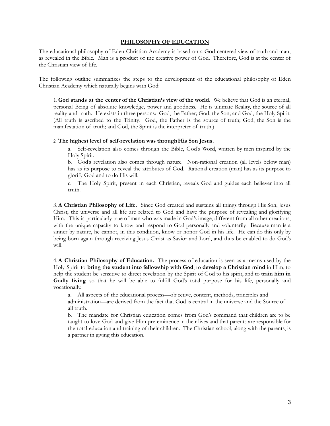#### **PHILOSOPHY OF EDUCATION**

The educational philosophy of Eden Christian Academy is based on a God-centered view of truth and man, as revealed in the Bible. Man is a product of the creative power of God. Therefore, God is at the center of the Christian view of life.

The following outline summarizes the steps to the development of the educational philosophy of Eden Christian Academy which naturally begins with God:

1.**God stands at the center of the Christian's view of the world.** We believe that God is an eternal, personal Being of absolute knowledge, power and goodness. He is ultimate Reality, the source of all reality and truth. He exists in three persons: God, the Father; God, the Son; and God, the Holy Spirit. (All truth is ascribed to the Trinity. God, the Father is the source of truth; God, the Son is the manifestation of truth; and God, the Spirit is the interpreter of truth.)

#### 2. **The highest level of self-revelation was throughHis Son Jesus.**

a. Self-revelation also comes through the Bible, God's Word, written by men inspired by the Holy Spirit.

b. God's revelation also comes through nature. Non-rational creation (all levels below man) has as its purpose to reveal the attributes of God. Rational creation (man) has as its purpose to glorify God and to do His will.

c. The Holy Spirit, present in each Christian, reveals God and guides each believer into all truth.

3.**A Christian Philosophy of Life.** Since God created and sustains all things through His Son, Jesus Christ, the universe and all life are related to God and have the purpose of revealing and glorifying Him. This is particularly true of man who was made in God's image, different from all other creations, with the unique capacity to know and respond to God personally and voluntarily. Because man is a sinner by nature, he cannot, in this condition, know or honor God in his life. He can do this only by being born again through receiving Jesus Christ as Savior and Lord, and thus be enabled to do God's will.

4.**A Christian Philosophy of Education.** The process of education is seen as a means used by the Holy Spirit to **bring the student into fellowship with God**, to **develop a Christian mind** in Him, to help the student be sensitive to direct revelation by the Spirit of God to his spirit, and to **train him in** Godly living so that he will be able to fulfill God's total purpose for his life, personally and vocationally.

a. All aspects of the educational process—objective, content, methods, principles and administration—are derived from the fact that God is central in the universe and the Source of all truth.

b. The mandate for Christian education comes from God's command that children are to be taught to love God and give Him pre-eminence in their lives and that parents are responsible for the total education and training of their children. The Christian school, along with the parents, is a partner in giving this education.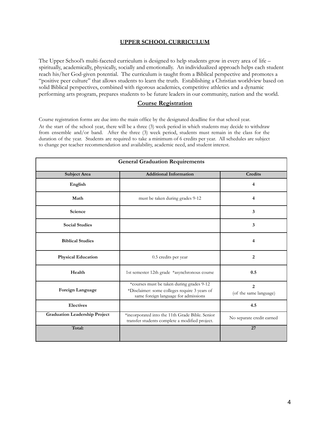#### **UPPER SCHOOL CURRICULUM**

The Upper School's multi-faceted curriculum is designed to help students grow in every area of life – spiritually, academically, physically, socially and emotionally. An individualized approach helps each student reach his/her God-given potential. The curriculum is taught from a Biblical perspective and promotes a "positive peer culture" that allows students to learn the truth. Establishing a Christian worldview based on solid Biblical perspectives, combined with rigorous academics, competitive athletics and a dynamic performing arts program, prepares students to be future leaders in our community, nation and the world.

#### **Course Registration**

Course registration forms are due into the main office by the designated deadline for that school year. At the start of the school year, there will be a three (3) week period in which students may decide to withdraw from ensemble and/or band. After the three (3) week period, students must remain in the class for the duration of the year. Students are required to take a minimum of 6 credits per year. All schedules are subject to change per teacher recommendation and availability, academic need, and student interest.

| <b>General Graduation Requirements</b> |                                                                                                                                    |                                          |  |  |  |  |
|----------------------------------------|------------------------------------------------------------------------------------------------------------------------------------|------------------------------------------|--|--|--|--|
| <b>Subject Area</b>                    | <b>Additional Information</b>                                                                                                      | <b>Credits</b>                           |  |  |  |  |
| English                                |                                                                                                                                    | 4                                        |  |  |  |  |
| Math                                   | must be taken during grades 9-12                                                                                                   | 4                                        |  |  |  |  |
| Science                                |                                                                                                                                    | $\mathbf{3}$                             |  |  |  |  |
| <b>Social Studies</b>                  |                                                                                                                                    | 3                                        |  |  |  |  |
| <b>Biblical Studies</b>                |                                                                                                                                    | 4                                        |  |  |  |  |
| <b>Physical Education</b>              | 0.5 credits per year                                                                                                               | 2                                        |  |  |  |  |
| Health                                 | 1st semester 12th grade *asynchronous course                                                                                       | 0.5                                      |  |  |  |  |
| Foreign Language                       | *courses must be taken during grades 9-12<br>*Disclaimer: some colleges require 3 years of<br>same foreign language for admissions | $\overline{2}$<br>(of the same language) |  |  |  |  |
| <b>Electives</b>                       |                                                                                                                                    | 4.5                                      |  |  |  |  |
| <b>Graduation Leadership Project</b>   | *incorporated into the 11th Grade Bible. Senior<br>transfer students complete a modified project.                                  | No separate credit earned                |  |  |  |  |
| Total:                                 |                                                                                                                                    | 27                                       |  |  |  |  |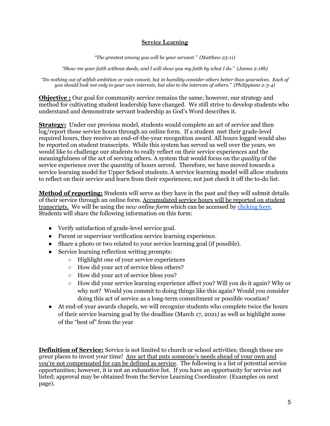#### **Service Learning**

*"The greatest among you will be your servant." (Matthew 23:11)*

*"Show me your faith without deeds, and I will show you my faith by what I do." (James 2:18b)*

*"Do nothing out of selfish ambition or vain conceit, but in humility consider others better than yourselves. Each of you should look not only to your own interests, but also to the interests of others." (Philippians 2:3-4)*

**Objective** : Our goal for community service remains the same; however, our strategy and method for cultivating student leadership have changed. We still strive to develop students who understand and demonstrate servant leadership as God's Word describes it.

**Strategy:** Under our previous model, students would complete an act of service and then log/report those service hours through an online form. If a student met their grade-level required hours, they receive an end-of-the-year recognition award. All hours logged would also be reported on student transcripts. While this system has served us well over the years, we would like to challenge our students to really reflect on their service experiences and the meaningfulness of the act of serving others. A system that would focus on the *quality* of the service experience over the *quantity* of hours served. Therefore, we have moved towards a service learning model for Upper School students.A service learning model will allow students to reflect on their service and learn from their experiences; not just check it off the to-do list.

**Method of reporting:** Students will serve as they have in the past and they will submit details of their service through an online form. Accumulated service hours will be reported on student transcripts. We will be using the *new online form* which can be accessed by [clicking](https://forms.gle/YH88QkAVQ8FyCg6SA) here. Students will share the following information on this form:

- Verify satisfaction of grade-level service goal.
- Parent or supervisor verification service learning experience.
- Share a photo or two related to your service learning goal (if possible).
- Service learning reflection writing prompts:
	- Highlight one of your service experiences
	- How did your act of service bless others?
	- How did your act of service bless you?
	- How did your service learning experience affect you? Will you do it again? Why or why not? Would you commit to doing things like this again? Would you consider doing this act of service as a long-term commitment or possible vocation?
- At end-of-year awards chapels, we will recognize students who complete twice the hours of their service learning goal by the deadline (March 17, 2021) as well as highlight some of the "best of" from the year

**Definition of Service:** Service is not limited to church or school activities; though those are *great* places to invest your time! Any act that puts someone's needs ahead of your own and you're not compensated for can be defined as service. The following is a list of potential service opportunities; however, it is not an exhaustive list. If you have an opportunity for service not listed; approval may be obtained from the Service Learning Coordinator. (Examples on next page).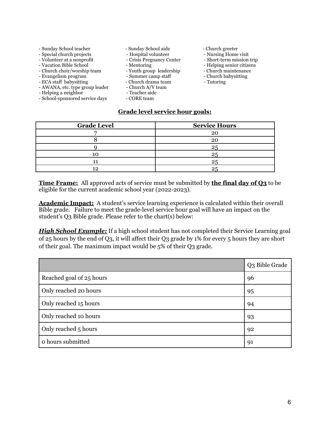- Sunday School teacher Sunday School aide Church greeter<br>- Special church projects Hospital volunteer Nursing Home visit
- Special church projects Hospital volunteer Nursing Home visit<br>- Volunteer at a nonprofit Crisis Pregnancy Center Short-term mission trip
- 
- 
- Vacation Bible School Mentoring Helping senior citizens<br>- Church choir/worship team Youth group leadership Church maintenance - Church choir/worship team - Youth group leadership - Church maintenance - Evangelism program - Summer camp staff
- Evangelism program
- ECA staff babysitting Church drama team Tutoring AWANA, etc. type group leader Church A/V team
- AWANA, etc. type group leader Church A/V t<br>- Helping a neighbor Teacher aide
- 
- Helping a neighbor Teacher aid<br>- School-sponsored service days CORE team - School-sponsored service days
- 
- 
- Crisis Pregnancy Center
- 
- 
- 
- 
- -
	-
- 
- 
- 
- 
- 
- 
- 

#### **Grade level service hour goals:**

| <b>Grade Level</b> | <b>Service Hours</b> |
|--------------------|----------------------|
| —                  | 20                   |
|                    | 20                   |
|                    |                      |
|                    | クロ                   |
|                    | 25                   |
| 19                 | 25                   |

**Time Frame:** All approved acts of service must be submitted by **the final day of Q3** to be eligible for the current academic school year (2022-2023).

**Academic Impact:** A student's service learning experience is calculated within their overall Bible grade. Failure to meet the grade-level service hour goal will have an impact on the student's Q3 Bible grade. Please refer to the chart(s) below:

*High School Example:* If a high school student has not completed their Service Learning goal of 25 hours by the end of Q3, it will affect their Q3 grade by 1% for every 5 hours they are short of their goal. The maximum impact would be 5% of their Q3 grade.

|                          | Q3 Bible Grade |
|--------------------------|----------------|
| Reached goal of 25 hours | 96             |
| Only reached 20 hours    | 95             |
| Only reached 15 hours    | 94             |
| Only reached 10 hours    | 93             |
| Only reached 5 hours     | 92             |
| o hours submitted        | 91             |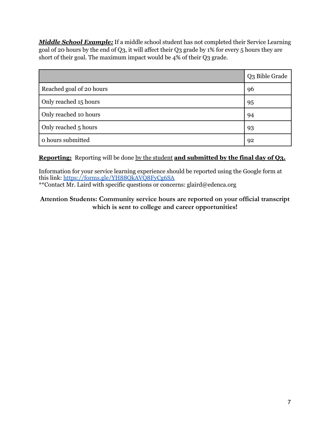*Middle School Example:* If a middle school student has not completed their Service Learning goal of 20 hours by the end of Q3, it will affect their Q3 grade by 1% for every 5 hours they are short of their goal. The maximum impact would be 4% of their Q3 grade.

|                          | Q3 Bible Grade |
|--------------------------|----------------|
| Reached goal of 20 hours | 96             |
| Only reached 15 hours    | 95             |
| Only reached 10 hours    | 94             |
| Only reached 5 hours     | 93             |
| o hours submitted        | 92             |

### **Reporting:** Reporting will be done by the student **and submitted by the final day of Q3.**

Information for your service learning experience should be reported using the Google form at this link: <https://forms.gle/YH88QkAVQ8FyCg6SA> \*\*Contact Mr. Laird with specific questions or concerns: glaird@edenca.org

#### **Attention Students: Community service hours are reported on your official transcript which is sent to college and career opportunities!**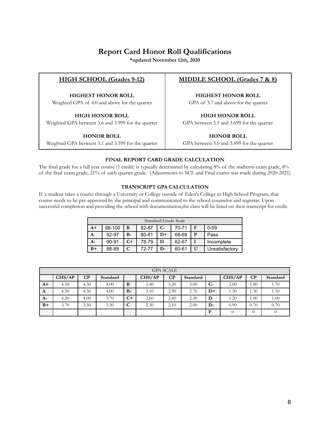### **Report Card Honor Roll Qualifications**

**\*updated November 12th, 2020**

#### **HIGH SCHOOL (Grades 9-12)**

**HIGHEST HONOR ROLL** Weighted GPA of 4.0 and above for the quarter

#### **HIGH HONOR ROLL**

Weighted GPA between 3.6 and 3.999 for the quarter

#### **HONOR ROLL**

Weighted GPA between 3.1 and 3.599 for the quarter

#### **MIDDLE SCHOOL (Grades 7 & 8)**

**HIGHEST HONOR ROLL**

GPA of 3.7 and above for the quarter

**HIGH HONOR ROLL** GPA between 3.5 and 3.699 for the quarter

**HONOR ROLL**

GPA between 3.0 and 3.499 for the quarter

#### **FINAL REPORT CARD GRADE CALCULATION**

The final grade for a full year course (1 credit) is typically determined by calculating 8% of the midterm exam grade, 8% of the final exam grade, 21% of each quarter grade. (Adjustments to M.T. and Final exams was made during 2020-2021)

#### **TRANSCRIPT GPA CALCULATION**

If a student takes a course through a University or College outside of Eden's College in High School Program, that course needs to be pre-approved by the principal and communicated to the school counselor and registrar. Upon successful completion and providing the school with documentation,the class will be listed on their transcript for credit.

| Standard Grade Scale |           |      |       |      |       |              |                |
|----------------------|-----------|------|-------|------|-------|--------------|----------------|
| $A+$                 | 98-100    | B    | 82-87 | $C-$ | 70-71 | F            | $0 - 59$       |
| A                    | 92-97     | $B-$ | 80-81 | $D+$ | 68-69 | P            | Pass           |
| $A -$                | $90 - 91$ | $C+$ | 78-79 | D    | 62-67 |              | Incomplete     |
| $B+$                 | 88-89     | C    | 72-77 | D-   | 60-61 | $\mathbf{U}$ | Unsatisfactory |

| <b>GPA SCALE</b> |        |          |          |      |        |      |          |              |        |      |          |
|------------------|--------|----------|----------|------|--------|------|----------|--------------|--------|------|----------|
|                  | CHS/AP | $\bf CP$ | Standard |      | CHS/AP | CP   | Standard |              | CHS/AP | CP   | Standard |
| $A+$             | 4.50   | 4.30     | 4.00     | B    | 3.40   | 3.20 | 3.00     | $C-$         | 2.00   | 1.80 | 1.70     |
| A                | 4.50   | 4.30     | 4.00     | $B-$ | 3.10   | 2.90 | 2.70     | $D+$         | 1.50   | 1.30 | 1.30     |
| $A-$             | 4.20   | 4.00     | 3.70     | $C+$ | 2.60   | 2.40 | 2.30     | D            | 1.20   | 00.1 | 1.00     |
| $B+$             | 3.70   | 3.50     | 3.30     | C    | 2.30   | 2.10 | 2.00     | $D-$         | 0.90   | 0.70 | 0.70     |
|                  |        |          |          |      |        |      |          | $\mathbf{F}$ |        |      |          |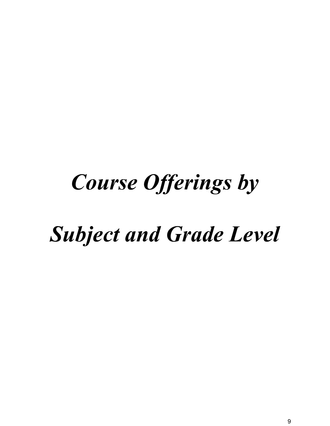# *Course Offerings by*

## *Subject and Grade Level*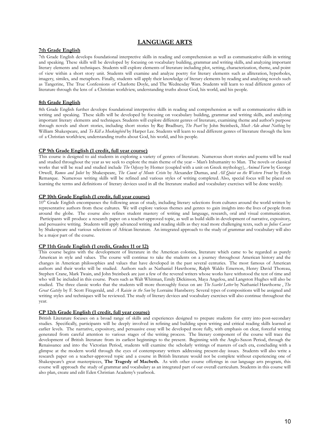#### **LANGUAGE ARTS**

#### **7th Grade English**

7th Grade English develops foundational interpretive skills in reading and comprehension as well as communicative skills in writing and speaking. These skills will be developed by focusing on vocabulary building, grammar and writing skills, and analyzing important literary elements and techniques. Students will explore elements of literature including plot, setting, characterization, theme, and point of view within a short story unit. Students will examine and analyze poetry for literary elements such as alliteration, hyperboles, imagery, similes, and metaphors. Finally, students will apply their knowledge of literary elements by reading and analyzing novels such as Tangerine, The True Confessions of Charlotte Doyle, and The Wednesday Wars. Students will learn to read different genres of literature through the lens of a Christian worldview, understanding truths about God, his world, and his people.

#### **8th Grade English**

8th Grade English further develops foundational interpretive skills in reading and comprehension as well as communicative skills in writing and speaking. These skills will be developed by focusing on vocabulary building, grammar and writing skills, and analyzing important literary elements and techniques. Students will explore different genres of literature, examining theme and author's purpose through novels and short stories, including short stories by Ray Bradbury, *The Pearl* by John Steinbeck, *Much Ado about Nothing* by William Shakespeare, and *To Kill a Mockingbird* by Harper Lee. Students will learn to read different genres of literature through the lens of a Christian worldview, understanding truths about God, his world, and his people.

#### **CP 9th Grade English (1 credit, full year course)**

This course is designed to aid students in exploring a variety of genres of literature. Numerous short stories and poems will be read and studied throughout the year as we seek to explore the main theme of the year – Man's Inhumanity to Man. The novels or classical works that will be read and studied include *The Odyssey* by Homer (coupled with a unit on Greek mythology), *Animal Farm* by George Orwell, Romeo and Juliet by Shakespeare, The Count of Monte Cristo by Alexander Dumas, and All Quiet on the Western Front by Erich Remarque. Numerous writing skills will be refined and various styles of writing completed. Also, special focus will be placed on learning the terms and definitions of literary devices used in all the literature studied and vocabulary exercises will be done weekly.

#### **CP 10th Grade English (1 credit, full year course)**

10<sup>th</sup> Grade English encompasses the following areas of study, including literary selections from cultures around the world written by representative authors from these cultures. We will explore various themes and genres to gain insights into the lives of people from around the globe. The course also refines student mastery of writing and language, research, oral and visual communication. Participants will produce a research paper on a teacher-approved topic, as well as build skills in development of narrative, expository, and persuasive writing. Students will apply advanced writing and reading skills as they read more challenging texts, such as *Julius Caesar* by Shakespeare and various selections of African literature. An integrated approach to the study of grammar and vocabulary will also be a major part of the course.

#### **CP 11th Grade English (1 credit, Grades 11 or 12)**

This course begins with the development of literature in the American colonies, literature which came to be regarded as purely American in style and values. The course will continue to take the students on a journey throughout American history and the changes in American philosophies and values that have developed in the past several centuries. The most famous of American authors and their works will be studied. Authors such as Nathaniel Hawthorne, Ralph Waldo Emerson, Henry David Thoreau, Stephen Crane, Mark Twain, and John Steinbeck are just a few of the revered writers whose works have withstood the test of time and who will be included in this course. Poets such as Walt Whitman, Emily Dickinson, Maya Angelou, and Langston Hughes will also be studied. The three classic works that the students will more thoroughly focus on are *The Scarlet Letter* by Nathaniel Hawthorne , *The Great Gatsby* by F. Scott Fitzgerald, and *A Raisin in the Sun* by Lorraine Hansberry. Several types of compositions will be assigned and writing styles and techniques will be reviewed. The study of literary devices and vocabulary exercises will also continue throughout the year.

#### **CP 12th Grade English (1 credit, full year course)**

British Literature focuses on a broad range of skills and experiences designed to prepare students for entry into post-secondary studies. Specifically, participants will be deeply involved in refining and building upon writing and critical reading skills learned at earlier levels. The narrative, expository, and persuasive essay will be developed more fully, with emphasis on clear, forceful writing generated from careful attention to various stages of the writing process. The literary component of the course will trace the development of British literature from its earliest beginnings to the present. Beginning with the Anglo-Saxon Period, through the Renaissance and into the Victorian Period, students will examine the scholarly writings of masters of each era, concluding with a glimpse at the modern world through the eyes of contemporary writers addressing present-day issues. Students will also write a research paper on a teacher-approved topic and a course in British literature would not be complete without experiencing one of Shakespeare's great masterpieces, **The Tragedy of Macbeth.** As with other course offerings in our language arts program, this course will approach the study of grammar and vocabulary as an integrated part of our overall curriculum. Students in this course will also plan, create and edit Eden Christian Academy's yearbook.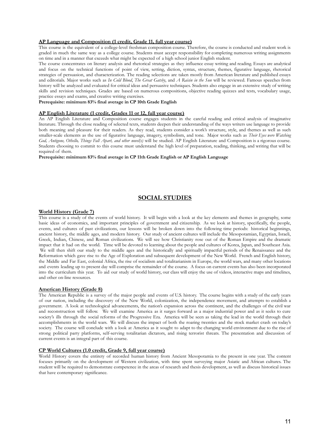#### **AP Language and Composition (1 credit, Grade 11, full year course)**

This course is the equivalent of a college-level freshman composition course. Therefore, the course is conducted and student work is graded in much the same way as a college course. Students must accept responsibility for completing numerous writing assignments on time and in a manner that exceeds what might be expected of a high school junior English student.

The course concentrates on literary analysis and rhetorical strategies as they influence essay writing and reading. Essays are analytical and focus on the technical functions of point of view, setting, diction, syntax, structure, themes, figurative language, rhetorical strategies of persuasion, and characterization. The reading selections are taken mostly from American literature and published essays and editorials. Major works such as *In Cold Blood*, *The Great Gatsby*, and *A Raisin in the Sun* will be reviewed. Famous speeches from history will be analyzed and evaluated for critical ideas and persuasive techniques. Students also engage in an extensive study of writing skills and revision techniques. Grades are based on numerous compositions, objective reading quizzes and tests, vocabulary usage, practice essays and exams, and creative writing exercises.

**Prerequisite: minimum 83% final average in CP 10th Grade English**

#### **AP English Literature (1 credit, Grades 11 or 12, full year course)**

An AP English Literature and Composition course engages students in the careful reading and critical analysis of imaginative literature. Through the close reading of selected texts, students deepen their understanding of the ways writers use language to provide both meaning and pleasure for their readers. As they read, students consider a work's structure, style, and themes as well as such smaller-scale elements as the use of figurative language, imagery, symbolism, and tone. Major works such as *Their Eyes were Watching God, Antigone, Othello, Things Fall Apart, and other novel(s)* will be studied. AP English Literature and Composition is a rigorous course. Students choosing to commit to this course must understand the high level of preparation, reading, thinking, and writing that will be required of them.

**Prerequisite: minimum 83% final average in CP 11th Grade English or AP English Language**

#### **SOCIAL STUDIES**

#### **World History (Grade 7)**

This course is a study of the events of world history. It will begin with a look at the key elements and themes in geography, some basic ideas of economics, and important principles of government and citizenship. As we look at history, specifically, the people, events, and cultures of past civilizations, our lessons will be broken down into the following time periods: historical beginnings, ancient history, the middle ages, and modern history. Our study of ancient cultures will include the Mesopotamian, Egyptian, Israeli, Greek, Indian, Chinese, and Roman civilizations. We will see how Christianity rose out of the Roman Empire and the dramatic impact that it had on the world. Time will be devoted to learning about the people and cultures of Korea, Japan, and Southeast Asia. We will then shift our study to the middle ages and the historically and spiritually impactful periods of the Renaissance and the Reformation which gave rise to the Age of Exploration and subsequent development of the New World. French and English history, the Middle and Far East, colonial Africa, the rise of socialism and totalitarianism in Europe, the world wars, and many other locations and events leading up to present day will comprise the remainder of the course. A focus on current events has also been incorporated into the curriculum this year. To aid our study of world history, our class will enjoy the use of videos, interactive maps and timelines, and other on-line resources.

#### **American History (Grade 8)**

The American Republic is a survey of the major people and events of U.S. history. The course begins with a study of the early years of our nation, including the discovery of the New World, colonization, the independence movement, and attempts to establish a government. A look at technological advancements, the nation's expansion across the continent, and the challenges of the civil war and reconstruction will follow. We will examine America as it surges forward as a major industrial power and as it seeks to cure society's ills through the social reforms of the Progressive Era. America will be seen as taking the lead in the world through their accomplishments in the world wars. We will discuss the impact of both the roaring twenties and the stock market crash on today's society. The course will conclude with a look at America as it sought to adapt to the changing world environment due to the rise of strong political party platforms, self-serving totalitarian dictators, and rising terrorist threats. The presentation and discussion of current events is an integral part of this course.

#### **CP World Cultures (1.0 credit, Grade 9, full year course)**

World History covers the entirety of recorded human history from Ancient Mesopotamia to the present in one year. The content focuses primarily on the development of Western civilization, with time spent surveying major Asiatic and African cultures. The student will be required to demonstrate competence in the areas of research and thesis development, as well as discuss historical issues that have contemporary significance.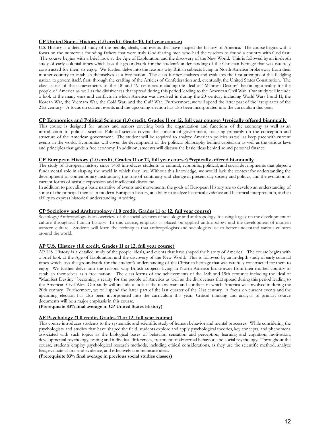#### **CP United States History (1.0 credit, Grade 10, full year course)**

U.S. History is a detailed study of the people, ideals, and events that have shaped the history of America. The course begins with a focus on the numerous founding fathers that were truly God-fearing men who had the wisdom to found a country with God first. The course begins with a brief look at the Age of Exploration and the discovery of the New World. This is followed by an in-depth study of early colonial times which lays the groundwork for the student's understanding of the Christian heritage that was carefully constructed for them to enjoy. We further delve into the reasons why British subjects living in North America broke away from their mother country to establish themselves as a free nation. The class further analyzes and evaluates the first attempts of this fledgling nation to govern itself, first, through the crafting of the Articles of Confederation and, eventually, the United States Constitution. The class learns of the achievements of the 18 and 19 centuries including the ideal of "Manifest Destiny" becoming a reality for the people of America as well as the divisiveness that spread during this period leading to the American Civil War. Our study will include a look at the many wars and conflicts in which America was involved in during the 20- century including World Wars I and II, the Korean War, the Vietnam War, the Cold War, and the Gulf War. Furthermore, we will spend the latter part of the last quarter of the 21st century. A focus on current events and the upcoming election has also been incorporated into the curriculum this year.

#### CP Economics and Political Science (1.0 credit, Grades 11 or 12, full year course) \*typically offered biannually

This course is designed for juniors and seniors covering both the organization and functions of the economy as well as an introduction to political science. Political science covers the concept of government, focusing primarily on the conception and structure of the American government. The student will be required to analyze American policies as well as keep pace with current events in the world. Economics will cover the development of the political philosophy behind capitalism as well as the various laws and principles that guide a free economy. In addition, students will discuss the basic ideas behind sound personal finance.

#### **CP European History (1.0 credit, Grades 11 or 12, full year course) \*typically offered biannually**

The study of European history since 1450 introduces students to cultural, economic, political, and social developments that played a fundamental role in shaping the world in which they live. Without this knowledge, we would lack the context for understanding the development of contemporary institutions, the role of continuity and change in present-day society and politics, and the evolution of current forms of artistic expression and intellectual discourse.

In addition to providing a basic narrative of events and movements, the goals of European History are to develop an understanding of some of the principal themes in modern European history, an ability to analyze historical evidence and historical interpretation, and an ability to express historical understanding in writing.

#### **CP Sociology and Anthropology (1.0 credit, Grades 11 or 12, full year course)**

Sociology/Anthropology is an overview of the social sciences of sociology and anthropology, focusing largely on the development of culture throughout human history. In this course, emphasis is placed on applied anthropology and the development of modern western culture. Students will learn the techniques that anthropologists and sociologists use to better understand various cultures around the world.

#### **AP U.S. History (1.0 credit, Grades 11 or 12, full year course)**

AP U.S. History is a detailed study of the people, ideals, and events that have shaped the history of America. The course begins with a brief look at the Age of Exploration and the discovery of the New World. This is followed by an in-depth study of early colonial times which lays the groundwork for the student's understanding of the Christian heritage that was carefully constructed for them to enjoy. We further delve into the reasons why British subjects living in North America broke away from their mother country to establish themselves as a free nation. The class learns of the achievements of the 18th and 19th centuries including the ideal of "Manifest Destiny" becoming a reality for the people of America as well as the divisiveness that spread during this period leading to the American Civil War. Our study will include a look at the many wars and conflicts in which America was involved in during the 20th century. Furthermore, we will spend the latter part of the last quarter of the 21st century. A focus on current events and the upcoming election has also been incorporated into the curriculum this year. Critical thinking and analysis of primary source documents will be a major emphasis in this course.

#### **(Prerequisite 83% final average in CP United States History)**

#### **AP Psychology (1.0 credit, Grades 11 or 12, full year course)**

This course introduces students to the systematic and scientific study of human behavior and mental processes. While considering the psychologists and studies that have shaped the field, students explore and apply psychological theories, key concepts, and phenomena associated with such topics as the biological bases of behavior, sensation and perception, learning and cognition, motivation, developmental psychology, testing and individual differences, treatment of abnormal behavior, and social psychology. Throughout the course, students employ psychological research methods, including ethical considerations, as they use the scientific method, analyze bias, evaluate claims and evidence, and effectively communicate ideas.

**(Prerequisite 83% final average in previous social studies classes)**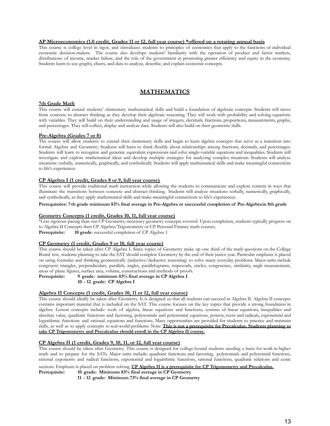#### **AP Microeconomics (1.0 credit, Grades 11 or 12, full year course) \*offered on a rotating annual basis**

This course is college level in rigor, and introduces students to principles of economics that apply to the functions of individual economic decision-makers. The course also develops students' familiarity with the operation of product and factor markets, distributions of income, market failure, and the role of the government in promoting greater efficiency and equity in the economy. Students learn to use graphs, charts, and data to analyze, describe, and explain economic concepts.

#### **MATHEMATICS**

#### **7th Grade Math**

This course will extend students' elementary mathematical skills and build a foundation of algebraic concepts. Students will move from concrete to abstract thinking as they develop their algebraic reasoning. They will work with probability and solving equations with variables. They will build on their understanding and usage of integers, decimals, fractions, proportions, measurements, graphs, and percentages. They will collect, display and analyze data. Students will also build on their geometric skills.

#### **Pre-Algebra (Grades 7 or 8)**

The course will allow students to extend their elementary skills and begin to learn algebra concepts that serve as a transition into formal Algebra and Geometry. Students will learn to think flexibly about relationships among fractions, decimals, and percentages. Students will learn to recognize and generate equivalent expressions and solve single-variable equations and inequalities. Students will investigate and explore mathematical ideas and develop multiple strategies for analyzing complex situations. Students will analyze situations verbally, numerically, graphically, and symbolically. Students will apply mathematical skills and make meaningful connections to life's experiences.

#### **CP Algebra I (1 credit, Grades 8 or 9, full year course)**

This course will provide traditional math instruction while allowing the students to communicate and explore content in ways that illuminate the transitions between concrete and abstract thinking. Students will analyze situations verbally, numerically, graphically, and symbolically, as they apply mathematical skills and make meaningful connections to life's experiences.

#### **Prerequisites: 7thth grade minimum 83% final average in Pre-Algebra or successful completion of Pre-Algebrain 8th grade**

#### **Geometry Concepts (1 credit, Grades 10, 11, full year course)**

\*Less rigorous pacing than our CP Geometry; necessary geometry concepts covered. Upon completion, students typically progress on to Algebra II Concepts then CP Algebra/Trigonometry or CP Personal Finance math courses. **Prerequisite: 10 grade**: successful completion of CP Algebra 1

#### **CP Geometry (1 credit, Grades 9 or 10, full year course)**

This course should be taken after CP Algebra I. Since topics of Geometry make up one third of the math questions on the College Board test, students planning to take the SAT should complete Geometry by the end of their junior year. Particular emphasis is placed on using formulas and thinking geometrically (inductive/deductive reasoning) to solve many everyday problems. Major units include congruent triangles, perpendiculars, parallels, angles, parallelograms, trapezoids, circles, congruence, similarity, angle measurement, areas of plane figures, surface area, volume, constructions and methods of proofs.

**Prerequisite:** 9 grade: minimum 83% final average in CP Algebra I

**10th - 12th grade: CP Algebra I**

#### **Algebra II Concepts (1 credit, Grades 10, 11 or 12, full year course)**

This course should ideally be taken after Geometry. It is designed so that all students can succeed in Algebra II. Algebra II concepts contains important material that is included on the SAT. This course focuses on the key topics that provide a strong foundation in algebra. Lesson concepts include: tools of algebra, linear equations and functions, systems of linear equations, inequalities and absolute value, quadratic functions and factoring, polynomials and polynomial equations, powers, roots and radicals, exponential and logarithmic functions and rational equations and functions. Many opportunities are provided for students to practice and maintain skills, as well as to apply concepts to real-world problems. Note: **This is not a prerequisite for Precalculus. Students planning to take CP Trigonometry and Precalculus should enroll in the CP Algebra II course.**

#### **CP Algebra II (1 credit, Grades 9, 10, 11, or 12, full year course)**

This course should be taken after Geometry. This course is designed for college-bound students needing a basis for work in higher math and to prepare for the SATs. Major units include: quadratic functions and factoring, polynomials and polynomial functions, rational exponents and radical functions, exponential and logarithmic functions, rational functions, quadratic relations and conic

sections. Emphasis is placed on problem solving. CP Algebra II is a prerequisite for CP Trigonometry and Precalculus.<br>Prerequisite: 10. grade: Minimum 83% final average in CP Geometry 10 grade: Minimum 83% final average in CP Geometry

**11th - 12th grade: Minimum 73% final average in CP Geometry**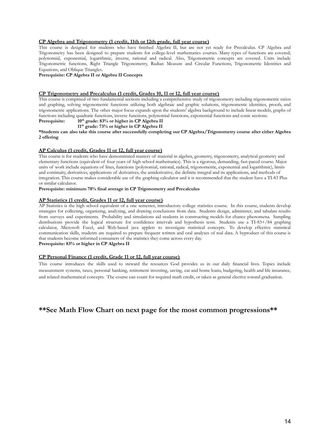#### **CP Algebra and Trigonometry (1 credit, 11th or 12th grade, full year course)**

This course is designed for students who have finished Algebra II, but are not yet ready for Precalculus. CP Algebra and Trigonometry has been designed to prepare students for college-level mathematics courses. Many types of functions are covered; polynomial, exponential, logarithmic, inverse, rational and radical. Also, Trigonometric concepts are covered. Units include Trigonometric functions, Right Triangle Trigonometry, Radian Measure and Circular Functions, Trigonometric Identities and Equations, and Oblique Triangles.

**Prerequisite: CP Algebra II or Algebra II Concepts**

#### **CP Trigonometry and Precalculus (1 credit, Grades 10, 11 or 12, full year course)**

This course is comprised of two fundamental sections including a comprehensive study of trigonometry including trigonometric ratios and graphing, solving trigonometric functions utilizing both algebraic and graphic solutions, trigonometric identities, proofs, and trigonometric applications. The other major focus expands upon the students' algebra background to include linear models, graphs of functions including quadratic functions, inverse functions, polynomial functions, exponential functions and conic sections.

**Prerequisite: 10th grade: 83% or higher in CP Algebra II**

#### **11th grade: 73% or higher in CP Algebra II**

\*Students can also take this course after successfully completing our CP Algebra/Trigonometry course after either Algebra **2 offering**

#### **AP Calculus (1 credit, Grades 11 or 12, full year course)**

This course is for students who have demonstrated mastery of material in algebra, geometry, trigonometry, analytical geometry and elementary functions (equivalent of four years of high school mathematics). This is a rigorous, demanding, fast-paced course. Major units of work include equations of lines, functions (polynomial, rational, radical, trigonometric, exponential and logarithmic), limits and continuity, derivatives, applications of derivatives, the antiderivative, the definite integral and its applications, and methods of integration. This course makes considerable use of the graphing calculator and it is recommended that the student have a TI-83 Plus or similar calculator.

#### **Prerequisite: minimum 78% final average in CP Trigonometry and Precalculus**

#### **AP Statistics (1 credit, Grades 11 or 12, full year course)**

AP Statistics is the high school equivalent of a one semester, introductory college statistics course. In this course, students develop strategies for collecting, organizing, analyzing, and drawing conclusions from data. Students design, administer, and tabulate results from surveys and experiments. Probability and simulations aid students in constructing models for chance phenomena. Sampling distributions provide the logical structure for confidence intervals and hypothesis tests. Students use a TI-83+/84 graphing calculator, Microsoft Excel, and Web-based java applets to investigate statistical concepts. To develop effective statistical communication skills, students are required to prepare frequent written and oral analyses of real data. A byproduct of this course is that students become informed consumers of the statistics they come across every day. **Prerequisite: 83% or higher in CP Algebra II**

#### **CP Personal Finance (1 credit, Grade 11 or 12, full year course)**

This course introduces the skills used to steward the resources God provides us in our daily financial lives. Topics include measurement systems, taxes, personal banking, retirement investing, saving, car and home loans, budgeting, health and life insurance, and related mathematical concepts. The course can count for required math credit, or taken as general elective toward graduation.

#### **\*\*See Math Flow Chart on next page for the most common progressions\*\***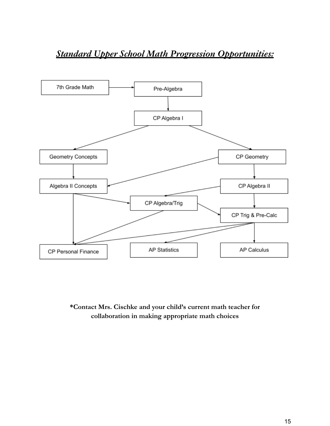## *Standard Upper School Math Progression Opportunities:*



**\*Contact Mrs. Cischke and your child's current math teacher for collaboration in making appropriate math choices**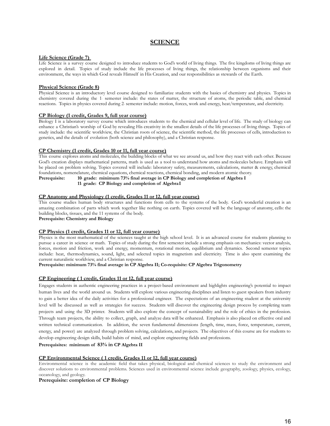#### **SCIENCE**

#### **Life Science (Grade 7)**

Life Science is a survey course designed to introduce students to God's world of living things. The five kingdoms of living things are explored in detail. Topics of study include the life processes of living things, the relationship between organisms and their environment, the ways in which God reveals Himself in His Creation, and our responsibilities as stewards of the Earth.

#### **Physical Science (Grade 8)**

Physical Science is an introductory level course designed to familiarize students with the basics of chemistry and physics. Topics in chemistry covered during the 1 semester include: the states of matter, the structure of atoms, the periodic table, and chemical reactions. Topics in physics covered during 2- semester include: motion, forces, work and energy, heat/temperature, and electricity.

#### **CP Biology (1 credit, Grades 9, full year course)**

Biology I is a laboratory survey course which introduces students to the chemical and cellular level of life. The study of biology can enhance a Christian's worship of God by revealing His creativity in the smallest details of the life processes of living things. Topics of study include: the scientific worldview, the Christian roots of science, the scientific method, the life processes of cells, introduction to genetics, and the details of evolution (both science and philosophy), and a Christian response.

#### **CP Chemistry (1 credit, Grades 10 or 11, full year course)**

This course explores atoms and molecules, the building blocks of what we see around us, and how they react with each other. Because God's creation displays mathematical patterns, math is used as a tool to understand how atoms and molecules behave. Emphasis will be placed on problem solving. Topics covered will include: laboratory safety, measurements, calculations, matter & energy, chemical foundations, nomenclature, chemical equations, chemical reactions, chemical bonding, and modern atomic theory.

**Prerequisite: 10th grade: minimum 73% final average in CP Biology and completion of Algebra I**

11<sup>*t*</sup> grade: CP Biology and completion of AlgebraI

#### **CP Anatomy and Physiology (1 credit, Grades 11 or 12, full year course)**

This course studies human body structures and functions from cells to the systems of the body. God's wonderful creation is an amazing combination of parts which work together like nothing on earth. Topics covered will be the language of anatomy, cells: the building blocks, tissues, and the 11 systems of the body.

**Prerequisite: Chemistry and Biology**

#### **CP Physics (1 credit, Grades 11 or 12, full year course)**

Physics is the most mathematical of the sciences taught at the high school level. It is an advanced course for students planning to pursue a career in science or math. Topics of study during the first semester include a strong emphasis on mechanics: vector analysis, forces, motion and friction, work and energy, momentum, rotational motion, equilibrium and dynamics. Second semester topics include: heat, thermodynamics, sound, light, and selected topics in magnetism and electricity. Time is also spent examining the current naturalistic worldview, and a Christian response.

**Prerequisite: minimum 73% final average in CP Algebra II; Co-requisite: CP Algebra Trigonometry**

#### **CP Engineering ( 1 credit, Grades 11 or 12, full year course)**

Engages students in authentic engineering practices in a project-based environment and highlights engineering's potential to impact human lives and the world around us. Students will explore various engineering disciplines and listen to guest speakers from industry to gain a better idea of the daily activities for a professional engineer. The expectations of an engineering student at the university level will be discussed as well as strategies for success. Students will discover the engineering design process by completing team projects and using the 3D printer. Students will also explore the concept of sustainability and the role of ethics in the profession. Through team projects, the ability to collect, graph, and analyze data will be enhanced. Emphasis is also placed on effective oral and written technical communication. In addition, the seven fundamental dimensions (length, time, mass, force, temperature, current, energy, and power) are analyzed through problem solving, calculations, and projects. The objectives of this course are for students to develop engineering design skills, build habits of mind, and explore engineering fields and professions.

**Prerequisites: minimum of 83% in CP Algebra II**

#### **CP Environmental Science ( 1 credit, Grades 11 or 12, full year course)**

Environmental science is the academic field that takes physical, biological and chemical sciences to study the environment and discover solutions to environmental problems. Sciences used in environmental science include geography, zoology, physics, ecology, oceanology, and geology.

#### **Prerequisite: completion of CP Biology**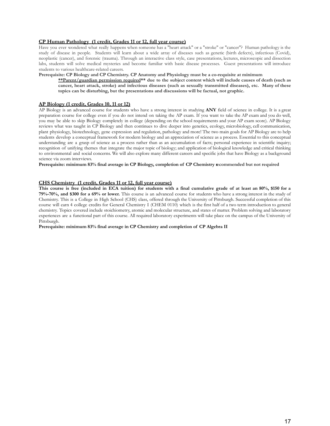#### **CP Human Pathology (1 credit, Grades 11 or 12, full year course)**

Have you ever wondered what really happens when someone has a "heart attack" or a "stroke" or "cancer"? Human pathology is the study of disease in people. Students will learn about a wide array of diseases such as genetic (birth defects), infectious (Covid), neoplastic (cancer), and forensic (trauma). Through an interactive class style, case presentations, lectures, microscopic and dissection labs, students will solve medical mysteries and become familiar with basic disease processes. Guest presentations will introduce students to various healthcare-related careers.

#### **Prerequisite: CP Biology and CP Chemistry. CP Anatomy and Physiology must be a co-requisite at minimum**

**\*\*Parent/guardian permission required\*\* due to the subject content which will include causes of death (such as** cancer, heart attack, stroke) and infectious diseases (such as sexually transmitted diseases), etc. Many of these **topics can be disturbing, but the presentations and discussions will be factual, not graphic.**

#### **AP Biology (1 credit, Grades 10, 11 or 12)**

AP Biology is an advanced course for students who have a strong interest in studying **ANY** field of science in college. It is a great preparation course for college even if you do not intend on taking the AP exam. If you want to take the AP exam and you do well, you may be able to skip Biology completely in college (depending on the school requirements and your AP exam score). AP Biology reviews what was taught in CP Biology and then continues to dive deeper into genetics, ecology, microbiology, cell communication, plant physiology, biotechnology, gene expression and regulation, pathology and more! The two main goals for AP Biology are to help students develop a conceptual framework for modern biology and an appreciation of science as a process. Essential to this conceptual understanding are a grasp of science as a process rather than as an accumulation of facts; personal experience in scientific inquiry; recognition of unifying themes that integrate the major topic of biology; and application of biological knowledge and critical thinking to environmental and social concerns. We will also explore many different careers and specific jobs that have Biology as a background science via zoom interviews.

**Prerequisite: minimum 83% final average in CP Biology, completion of CP Chemistry recommended but not required**

#### **CHS Chemistry (1 credit, Grades 11 or 12, full year course)**

This course is free (included in ECA tuition) for students with a final cumulative grade of at least an 80%, \$150 for a **79%-70%, and \$300 for a 69% or lower.** This course is an advanced course for students who have a strong interest in the study of Chemistry. This is a College in High School (CHS) class, offered through the University of Pittsburgh. Successful completion of this course will earn 4 college credits for General Chemistry I (CHEM 0110) which is the first half of a two term introduction to general chemistry. Topics covered include stoichiometry, atomic and molecular structure, and states of matter. Problem solving and laboratory experiences are a functional part of this course. All required laboratory experiments will take place on the campus of the University of Pittsburgh.

**Prerequisite: minimum 83% final average in CP Chemistry and completion of CP Algebra II**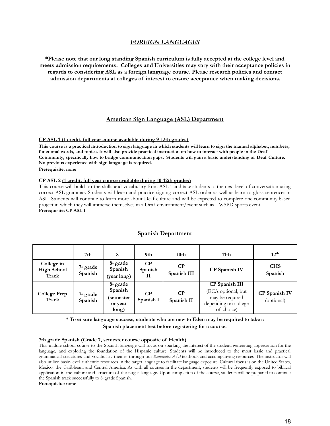#### *FOREIGN LANGUAGES*

**\*Please note that our long standing Spanish curriculum is fully accepted at the college level and meets admission requirements. Colleges and Universities may vary with their acceptance policies in regards to considering ASL as a foreign language course. Please research policies and contact admission departments at colleges of interest to ensure acceptance when making decisions.**

#### **American Sign Language (ASL) Department**

#### **CP ASL 1 (1 credit, full year course available during 9-12th grades)**

**This course is a practical introduction to sign language in which students will learn to sign the manual alphabet, numbers, functional words, and topics. It will also provide practical instruction on how to interact with people in the Deaf Community; specifically how to bridge communication gaps. Students will gain a basic understanding of Deaf Culture. No previous experience with sign language is required. Prerequisite: none**

#### **CP ASL 2 (1 credit, full year course available during 10-12th grades)**

This course will build on the skills and vocabulary from ASL 1 and take students to the next level of conversation using correct ASL grammar. Students will learn and practice signing correct ASL order as well as learn to gloss sentences in ASL. Students will continue to learn more about Deaf culture and will be expected to complete one community based project in which they will immerse themselves in a Deaf environment/event such as a WSPD sports event. **Prerequisite: CP ASL 1**

|                                           | 7th                    | 8 <sup>th</sup>                                         | 9th                   | 10 <sub>th</sub>       | 11 <sub>th</sub>                                                                              | 12 <sup>th</sup>                   |
|-------------------------------------------|------------------------|---------------------------------------------------------|-----------------------|------------------------|-----------------------------------------------------------------------------------------------|------------------------------------|
| College in<br><b>High School</b><br>Track | $7th$ grade<br>Spanish | $8th$ grade<br>Spanish<br>(year long)                   | CP<br>Spanish         | CP<br>Spanish III      | <b>CP</b> Spanish IV                                                                          | <b>CHS</b><br>Spanish              |
| <b>College Prep</b><br>Track              | $7th$ grade<br>Spanish | $8th$ grade<br>Spanish<br>(semester<br>or year<br>long) | $\bf CP$<br>Spanish I | $\bf CP$<br>Spanish II | CP Spanish III<br>(ECA optional, but<br>may be required<br>depending on college<br>of choice) | <b>CP</b> Spanish IV<br>(optional) |

#### **Spanish Department**

**\* To ensure language success, students who are new to Eden may be required to take a Spanish placement test before registering for a course.**

#### **7th grade Spanish (Grade 7, semester course opposite of Health)**

This middle school course to the Spanish language will focus on sparking the interest of the student, generating appreciation for the language, and exploring the foundation of the Hispanic culture. Students will be introduced to the most basic and practical grammatical structures and vocabulary themes through our *Realidades A/B* textbook and accompanying resources. The instructor will also utilize basic-level authentic resources in the target language to facilitate language exposure. Cultural focus is on the United States, Mexico, the Caribbean, and Central America. As with all courses in the department, students will be frequently exposed to biblical application in the culture and structure of the target language. Upon completion of the course, students will be prepared to continue the Spanish track successfully to 8- grade Spanish.

**Prerequisite: none**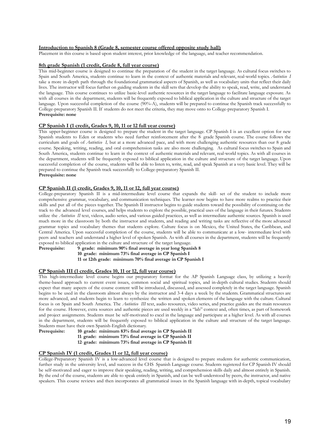#### **Introduction to Spanish 8 (Grade 8, semester course offered opposite study hall)**

Placement in this course is based upon student interest, prior knowledge of the language, and teacher recommendation.

#### **8th grade Spanish (1 credit, Grade 8, full year course)**

This mid-beginner course is designed to continue the preparation of the student in the target language. As cultural focus switches to Spain and South America, students continue to learn in the context of authentic materials and relevant, real-world topics. *Auténtico I* take a more in-depth path through the foundational grammatical aspects of Spanish, as well as vocabulary units that reflect their daily lives. The instructor will focus further on guiding students in the skill sets that develop the ability to speak, read, write, and understand the language. This course continues to utilize basic-level authentic resources in the target language to facilitate language exposure. As with all courses in the department, students will be frequently exposed to biblical application in the culture and structure of the target language. Upon successful completion of the course (90%-A), students will be prepared to continue the Spanish track successfully to College-preparatory Spanish II. If students do not meet the criteria, they may move onto to College-preparatory Spanish I. **Prerequisite: none**

#### **CP Spanish I (1 credit, Grades 9, 10, 11 or 12 full year course)**

This upper-beginner course is designed to prepare the student in the target language. CP Spanish I is an excellent option for new Spanish students to Eden or students who need further reinforcement after the 8 grade Spanish course. The course follows the curriculum and goals of *Auténtico I*, but at a more advanced pace, and with more challenging authentic resources than our 8 grade course. Speaking, writing, reading, and oral comprehension tasks are also more challenging. As cultural focus switches to Spain and South America, students continue to learn in the context of authentic materials and relevant, real-world topics. As with all courses in the department, students will be frequently exposed to biblical application in the culture and structure of the target language. Upon successful completion of the course, students will be able to listen to, write, read, and speak Spanish at a very basic level. They will be prepared to continue the Spanish track successfully to College-preparatory Spanish II. **Prerequisite: none**

#### **CP Spanish II (1 credit, Grades 9, 10, 11 or 12, full year course)**

College-preparatory Spanish II is a mid-intermediate level course that expands the skill- set of the student to include more comprehensive grammar, vocabulary, and communication techniques. The learner now begins to have more realms to practice their skills and put all of the pieces together. The Spanish II instructor begins to guide students toward the possibility of continuing on the track to the advanced level courses, and helps students to explore the possible, practical uses of the language in their futures. Students utilize the *Auténtico II* text, videos, audio series, and various guided practices, as well as intermediate authentic sources. Spanish is used much more in the classroom by both the instructor and students, and reading and writing tasks are reflective of the more advanced grammar topics and vocabulary themes that students explore. Culture focus is on Mexico, the United States, the Caribbean, and Central America. Upon successful completion of the course, students will be able to communicate at a low- intermediate level with peers and teachers and understand a higher level of spoken Spanish. As with all courses in the department, students will be frequently exposed to biblical application in the culture and structure of the target language.

**Prerequisite:** 9 grade: minimum 90% final average in year long Spanish 8 **10th grade: minimum 73% final average in CP Spanish I 11<sup>t</sup> or 12th grade: minimum 70% final average in CP Spanish I**

#### **CP Spanish III (1 credit, Grades 10, 11 or 12, full year course)**

This high-intermediate level course begins our preparatory format for the AP Spanish Language class, by utilizing a heavily theme-based approach to current event issues, common social and spiritual topics, and in-depth cultural studies. Students should expect that many aspects of the course content will be introduced, discussed, and assessed completely in the target language. Spanish begins to be used in the classroom almost always by the instructor and 3-4 days a week by the students. Grammatical structures are more advanced, and students begin to learn to synthesize the written and spoken elements of the language with the culture. Cultural focus is on Spain and South America. The *Auténtico III* text, audio resources, video series, and practice guides are the main resources for the course. However, extra sources and authentic pieces are used weekly in a "lab" context and, often times, as part of homework and project assignments. Students must be self-motivated to excel in the language and participate at a higher level. As with all courses in the department, students will be frequently exposed to biblical application in the culture and structure of the target language. Students must have their own Spanish-English dictionary.<br>**Prerequisite:** 10 grade: minimum 83% final ave

- **Prerequisite: 10th grade: minimum 83% final average in CP Spanish II**
- **11th grade: minimum 73% final average in CP Spanish II**
- **12th grade: minimum 73% final average in CP Spanish II**

#### **CP Spanish IV (1 credit, Grades 11 or 12, full year course)**

College-Preparatory Spanish IV is a low-advanced level course that is designed to prepare students for authentic communication, further study in the university level, and success in the CHS Spanish Language course. Students registered for CP Spanish IV should be self-motivated and eager to improve their speaking, reading, writing, and comprehension skills daily and almost entirely in Spanish. By the end of the course, students are able to speak entirely in Spanish, and can be well-understood by peers, the instructor, and native speakers. This course reviews and then incorporates all grammatical issues in the Spanish language with in-depth, topical vocabulary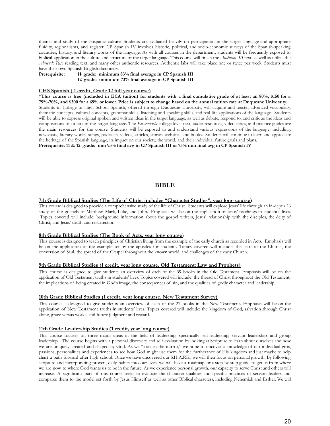themes and study of the Hispanic culture. Students are evaluated heavily on participation in the target language and appropriate fluidity, regionalisms, and register. CP Spanish IV involves historic, political, and socio-economic surveys of the Spanish-speaking countries, history, and literary works of the language. As with all courses in the department, students will be frequently exposed to biblical application in the culture and structure of the target language. This course will finish the *Auténtico III* text, as well as utilize the *Abriendo Paso* reading text, and many other authentic resources. Authentic labs will take place one or twice per week. Students must have their own Spanish-English dictionary.<br>Prerequisite: 11 grade: minimum

#### **Prerequisite: 11th grade: minimum 83% final average in CP Spanish III 12th grade: minimum 73% final average in CP Spanish III**

#### **CHS Spanish ( 1 credit, Grade 12 full year course)**

\*This course is free (included in ECA tuition) for students with a final cumulative grade of at least an 80%, \$150 for a **79%-70%, and \$300 for a 69% or lower. Price is subject to change based on the annual tuition rate at Duquesne University.**

Students in College in High School Spanish, offered through Duquesne University, will acquire and master advanced vocabulary, thematic concepts, cultural concepts, grammar skills, listening and speaking skills, and real-life applications of the language. Students will be able to express original spoken and written ideas in the target language, as well as debate, respond to, and critique the ideas and compositions of others in the target language. The *En contacto* college-level text, audio resources, video series, and practice guides are the main resources for the course. Students will be exposed to and understand various expressions of the language, including: newscasts, literary works, songs, podcasts, videos, articles, stories, websites, and books. Students will continue to learn and appreciate the heritage of the Spanish language, its impact on our society, the world, and their individual future goals and plans.

**Prerequisite: 11 & 12th grade: min 93% final avg in CP Spanish III or 75% min final avg in CP Spanish IV**

#### **BIBLE**

#### **7th Grade Biblical Studies (The Life of Christ includes "Character Studies", year long course)**

This course is designed to provide a comprehensive study of the life of Christ. Students will explore Jesus' life through an in-depth 26 study of the gospels of Matthew, Mark, Luke, and John. Emphasis will be on the application of Jesus' teachings in students' lives. Topics covered will include: background information about the gospel writers, Jesus' relationship with the disciples, the deity of Christ, and Jesus' death and resurrection

#### **8th Grade Biblical Studies (The Book of Acts, year long course)**

This course is designed to teach principles of Christian living from the example of the early church as recorded in Acts. Emphasis will be on the application of the example set by the apostles for students. Topics covered will include: the start of the Church, the conversion of Saul, the spread of the Gospel throughout the known world, and challenges of the early Church.

#### **9th Grade Biblical Studies (1 credit, year long course, Old Testament: Law and Prophets)**

This course is designed to give students an overview of each of the 39 books in the Old Testament. Emphasis will be on the application of Old Testament truths in students' lives. Topics covered will include: the thread of Christ throughout the Old Testament, the implications of being created in God's image, the consequences of sin, and the qualities of godly character and leadership.

#### **10th Grade Biblical Studies (1 credit, year long course, New Testament Survey)**

This course is designed to give students an overview of each of the 27 books in the New Testament. Emphasis will be on the application of New Testament truths in students' lives. Topics covered will include: the kingdom of God, salvation through Christ alone, grace versus works, and future judgment and reward.

#### **11th Grade Leadership Studies (1 credit, year long course)**

This course focuses on three major areas in the field of leadership, specifically self-leadership, servant leadership, and group leadership. The course begins with a personal discovery and self-evaluation by looking at Scripture to learn about ourselves and how we are uniquely created and shaped by God. As we "look in the mirror," we hope to uncover a knowledge of our individual gifts, passions, personalities and experiences to see how God might use them for the furtherance of His kingdom and just maybe to help chart a path forward after high school. Once we have uncovered our S.H.A.P.E., we will then focus on personal growth. By following scripture and incorporating proven, daily habits into our lives, we will have a roadmap, or a step-by-step guide, to get us from where we are now to where God wants us to be in the future. As we experience personal growth, our capacity to serve Christ and others will increase. A significant part of this course seeks to evaluate the character qualities and specific practices of servant leaders and compares them to the model set forth by Jesus Himself as well as other Biblical characters, including Nehemiah and Esther. We will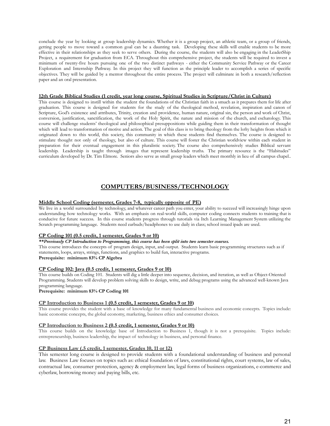conclude the year by looking at group leadership dynamics. Whether it is a group project, an athletic team, or a group of friends, getting people to move toward a common goal can be a daunting task. Developing these skills will enable students to be more effective in their relationships as they seek to serve others. During the course, the students will also be engaging in the LeaderShip Project, a requirement for graduation from ECA. Throughout this comprehensive project, the students will be required to invest a minimum of twenty-five hours pursuing one of the two distinct pathways - either the Community Service Pathway or the Career Exploration and Internship Pathway. In this project they will function as the principle leader to accomplish a series of specific objectives. They will be guided by a mentor throughout the entire process. The project will culminate in both a research/reflection paper and an oral presentation.

#### **12th Grade Biblical Studies (1 credit, year long course, Spiritual Studies in Scripture/Christ in Culture)**

This course is designed to instill within the student the foundations of the Christian faith in a smuch as it prepares them for life after graduation. This course is designed for students for the study of the theological method, revelation, inspiration and canon of Scripture, God's existence and attributes, Trinity, creation and providence, human nature, original sin, the person and work of Christ, conversion, justification, sanctification, the work of the Holy Spirit, the nature and mission of the church, and eschatology. This course will challenge students' theological and philosophical presuppositions while guiding them in their transformation of thought which will lead to transformation of motive and action. The goal of this class is to bring theology from the lofty heights from which it originated down to this world, this society, this community in which these students find themselves. The course is designed to stimulate thought not only of theology, but also of culture. This course will foster the Christian worldview within each student in preparation for their eventual engagement in this pluralistic society. The course also comprehensively studies Biblical servant leadership. Leadership is taught through images that represent leadership truths. The primary resource is the "Habitudes" curriculum developed by Dr. Tim Elmore. Seniors also serve as small group leaders which meet monthly in lieu of all campus chapel..

#### **COMPUTERS/BUSINESS/TECHNOLOGY**

#### **Middle School Coding (semester, Grades 7-8, typically opposite of PE)**

We live in a world surrounded by technology, and whatever career path you enter, your ability to succeed will increasingly hinge upon understanding how technology works. With an emphasis on real-world skills, computer coding connects students to training that is conducive for future success. In this course students progress through tutorials via Itch Learning Management System utilizing the Scratch programming language. Students need earbuds/headphones to use daily in class; school issued ipads are used.

#### **CP Coding 101 (0.5 credit, 1 semester, Grades 9 or 10)**

#### *\*\*Previously CP Introduction to Programming, this course has been split into two semester courses.*

This course introduces the concepts of program design, input, and output. Students learn basic programming structures such as if statements, loops, arrays, strings, functions, and graphics to build fun, interactive programs. **Prerequisite: minimum 83% CP Algebra**

#### **CP Coding 102: Java (0.5 credit, 1 semester, Grades 9 or 10)**

This course builds on Coding 101. Students will dig a little deeper into sequence, decision, and iteration, as well as Object-Oriented Programming. Students will develop problem solving skills to design, write, and debug programs using the advanced well-known Java programming language.

**Prerequisite: minimum 83% CP Coding 101**

#### **CP Introduction to Business 1 (0.5 credit, 1 semester, Grades 9 or 10)**

This course provides the student with a base of knowledge for many fundamental business and economic concepts. Topics include: basic economic concepts, the global economy, marketing, business ethics and consumer choices.

#### **CP Introduction to Business 2 (0.5 credit, 1 semester, Grades 9 or 10)**

This course builds on the knowledge base of Introduction to Business 1, though it is not a prerequisite. Topics include: entrepreneurship, business leadership, the impact of technology in business, and personal finance.

#### **CP Business Law (.5 credit, 1 semester, Grades 10, 11 or 12)**

This semester long course is designed to provide students with a foundational understanding of business and personal law. Business Law focuses on topics such as: ethical foundation of laws, constitutional rights, court systems, law of sales, contractual law, consumer protection, agency & employment law, legal forms of business organizations, e-commerce and cyberlaw, borrowing money and paying bills, etc.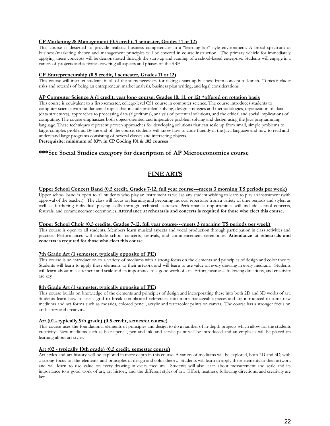#### **CP Marketing & Management (0.5 credit, 1 semester, Grades 11 or 12)**

This course is designed to provide realistic business competencies in a "learning lab"-style environment. A broad spectrum of business/marketing theory and management principles will be covered in course instruction. The primary vehicle for immediately applying these concepts will be demonstrated through the start-up and running of a school-based enterprise. Students will engage in a variety of projects and activities covering all aspects and phases of the SBE

#### **CP Entrepreneurship (0.5 credit, 1 semester, Grades 11 or 12)**

This course will instruct students in all of the steps necessary for taking a start-up business from concept to launch. Topics include: risks and rewards of being an entrepreneur, market analysis, business plan writing, and legal considerations.

#### AP Computer Science A (1 credit, year long course, Grades 10, 11, or 12) \*offered on rotation basis

This course is equivalent to a first-semester, college-level CS1 course in computer science. The course introduces students to computer science with fundamental topics that include problem solving, design strategies and methodologies, organization of data (data structures), approaches to processing data (algorithms), analysis of potential solutions, and the ethical and social implications of computing. The course emphasizes both object-oriented and imperative problem solving and design using the Java programming language. These techniques represent proven approaches for developing solutions that can scale up from small, simple problems to large, complex problems. By the end of the course, students will know how to code fluently in the Java language and how to read and understand large programs consisting of several classes and interacting objects.

#### **Prerequisite: minimum of 83% in CP Coding 101 & 102 courses**

#### **\*\*\*See Social Studies category for description of AP Microeconomics course**

#### **FINE ARTS**

#### Upper School Concert Band (0.5 credit, Grades 7-12, full year course---meets 3 morning TS periods per week)

Upper school band is open to all students who play an instrument as well as any student wishing to learn to play an instrument (with approval of the teacher). The class will focus on learning and preparing musical repertoire from a variety of time periods and styles, as well as furthering individual playing skills through technical exercises. Performance opportunities will include school concerts, festivals, and commencement ceremonies. **Attendance at rehearsals and concerts is required for those who elect this course.**

#### **Upper School Choir (0.5 credits, Grades 7-12, full year course---meets 3 morning TS periods per week)**

This course is open to all students. Members learn musical aspects and vocal production through participation in class activities and practice. Performances will include school concerts, festivals, and commencement ceremonies. **Attendance at rehearsals and concerts is required for those who elect this course.**

#### **7th Grade Art (1 semester, typically opposite of PE)**

This course is an introduction to a variety of mediums with a strong focus on the elements and principles of design and color theory. Students will learn to apply these elements to their artwork and will learn to use value on every drawing in every medium. Students will learn about measurement and scale and its importance to a good work of art. Effort, neatness, following directions, and creativity are key.

#### **8th Grade Art (1 semester, typically opposite of PE)**

This course builds on knowledge of the elements and principles of design and incorporating these into both 2D and 3D works of art. Students learn how to use a grid to break complicated references into more manageable pieces and are introduced to some new mediums and art forms such as mosaics, colored pencil, acrylic and watercolor paints on canvas. The course has a stronger focus on art history and creativity.

#### **Art (01 - typically 9th grade) (0.5 credit, semester course)**

This course uses the foundational elements of principles and design to do a number of in-depth projects which allow for the students creativity. New mediums such as black pencil, pen and ink, and acrylic paint will be introduced and an emphasis will be placed on learning about art styles.

#### **Art (02 - typically 10th grade) (0.5 credit, semester course)**

Art styles and art history will be explored in more depth in this course. A variety of mediums will be explored, both 2D and 3D, with a strong focus on the elements and principles of design and color theory. Students will learn to apply these elements to their artwork and will learn to use value on every drawing in every medium. Students will also learn about measurement and scale and its importance to a good work of art, art history, and the different styles of art. Effort, neatness, following directions, and creativity are key.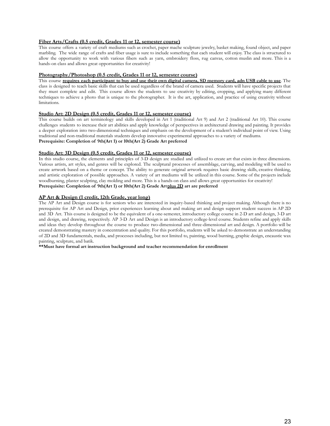#### **Fiber Arts/Crafts (0.5 credit, Grades 11 or 12, semester course)**

This course offers a variety of craft mediums such as crochet, paper mache sculpture jewelry, basket making, found object, and paper marbling. The wide range of crafts and fiber usage is sure to include something that each student will enjoy. The class is structured to allow the opportunity to work with various fibers such as yarn, embroidery floss, rug canvas, cotton muslin and more. This is a hands-on class and allows great opportunities for creativity!

#### **Photography/Photoshop (0.5 credit, Grades 11 or 12, semester course)**

This course requires each participant to buy and use their own digital camera. SD memory card, adn USB cable to use. The class is designed to teach basic skills that can be used regardless of the brand of camera used. Students will have specific projects that they must complete and edit. This course allows the students to use creativity by editing, cropping, and applying many different techniques to achieve a photo that is unique to the photographer. It is the art, application, and practice of using creativity without limitations.

#### **Studio Art: 2D Design (0.5 credit, Grades 11 or 12, semester course)**

This course builds on art terminology and skills developed in Art 1 (traditional Art 9) and Art 2 (traditional Art 10). This course challenges students to increase their art abilities and apply knowledge of perspectives in architectural drawing and painting. It provides a deeper exploration into two-dimensional techniques and emphasis on the development of a student's individual point of view. Using traditional and non-traditional materials students develop innovative experimental approaches to a variety of mediums. **Prerequisite: Completion of 9th(Art 1) or 10th(Art 2) Grade Art preferred**

#### **Studio Art: 3D Design (0.5 credit, Grades 11 or 12, semester course)**

In this studio course, the elements and principles of 3-D design are studied and utilized to create art that exists in three dimensions. Various artists, art styles, and genres will be explored. The sculptural processes of assemblage, carving, and modeling will be used to create artwork based on a theme or concept. The ability to generate original artwork requires basic drawing skills, creative thinking, and artistic exploration of possible approaches. A variety of art mediums will be utilized in this course. Some of the projects include woodburning, plaster sculpting, clay molding and more. This is a hands-on class and allows great opportunities for creativity! **Prerequisite: Completion of 9th(Art 1) or 10th(Art 2) Grade Artplus 2D art are preferred**

#### **AP Art & Design (1 credit, 12th Grade, year long)**

The AP Art and Design course is for seniors who are interested in inquiry-based thinking and project making. Although there is no prerequisite for AP Art and Design, prior experiences learning about and making art and design support student success in AP 2D and 3D Art. This course is designed to be the equivalent of a one-semester, introductory college course in 2-D art and design, 3-D art and design, and drawing, respectively. AP 3-D Art and Design is an introductory college-level course. Students refine and apply skills and ideas they develop throughout the course to produce two-dimensional and three-dimensional art and design. A portfolio will be created demonstrating mastery in concentration and quality. For this portfolio, students will be asked to demonstrate an understanding of 2D and 3D fundamentals, media, and processes including, but not limited to, painting, wood burning, graphic design, encaustic wax painting, sculpture, and batik.

**\*\*Must have formal art instruction background and teacher recommendation for enrollment**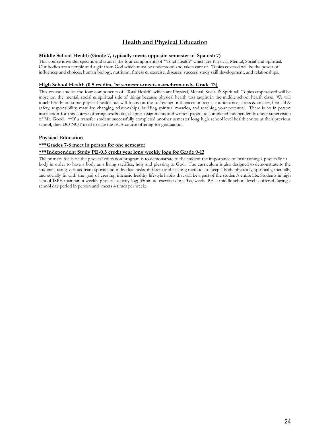#### **Health and Physical Education**

#### **Middle School Health (Grade 7, typically meets opposite semester of Spanish 7)**

This course is gender specific and studies the four components of "Total Health" which are Physical, Mental, Social and Spiritual. Our bodies are a temple and a gift from God which must be understood and taken care of. Topics covered will be the power of influences and choices, human biology, nutrition, fitness & exercise, diseases, success, study skill development, and relationships.

#### **High School Health (0.5 credits, 1st semester-meets asynchronously, Grade 12)**

This course studies the four components of "Total Health" which are Physical, Mental, Social & Spiritual. Topics emphasized will be more on the mental, social & spiritual side of things because physical health was taught in the middle school health class. We will touch briefly on some physical health but will focus on the following: influences on teens, countenance, stress & anxiety, first aid & safety, responsibility, maturity, changing relationships, building spiritual muscles, and reaching your potential. There is no in person instruction for this course offering; textbooks, chapter assignments and written paper are completed independently under supervision of Mr. Good. \*\*If a transfer student successfully completed another semester long high school level health course at their previous school, they DO NOT need to take the ECA course offering for graduation.

#### **Physical Education**

#### **\*\*\*Grades 7-8 meet in person for one semester**

#### **\*\*\*Independent Study PE-0.5 credit year long weekly logs for Grade 9-12**

The primary focus of the physical education program is to demonstrate to the student the importance of maintaining a physically fit body in order to have a body as a living sacrifice, holy and pleasing to God. The curriculum is also designed to demonstrate to the students, using various team sports and individual tasks, different and exciting methods to keep a body physically, spiritually, mentally, and socially fit with the goal of creating intrinsic healthy lifestyle habits that will be a part of the student's entire life. Students in high school ISPE maintain a weekly physical activity log; 35minute exercise done 3xs/week. PE at middle school level is offered during a school day period in person and meets 4 times per week).